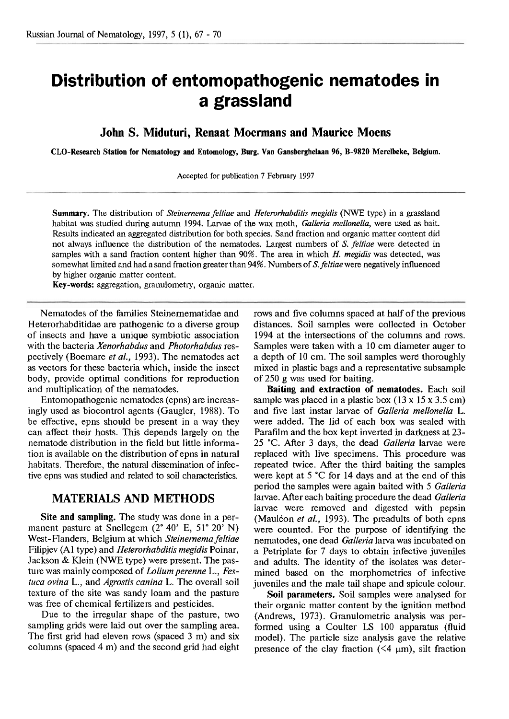# **Distribution of entornopathogenic nematodes in a grassland**

**John S. Miduturi, Renaat Moermans and Maurice Moens** 

**CLO-Research Station for Nematology and Entomology, Burg. Van Cansberghelaan 96, B-9820 Merelbeke, Belgium.** 

Accepted for publication 7 February 1997

**Summary.** The distribution of *Steinemema feltiae* and *Heterorhabditis megidis* (NWE type) in a grassland habitat was studied during autumn 1994. Larvae of the wax moth, *Galleria mellonella,* were used as bait. Results indicated an aggregated distribution for both species. Sand fraction and organic matter content did not always influence the distribution of the nematodes. Largest numbers of *S. feltiae* were detected in samples with a sand fraction content higher than 90%. The area in which H. *megidis* was detected, was somewhat limited and had a sand fraction greater than 94%. Numbers of *S.feltiae* were negatively influenced by higher organic matter content.

**Key-words:** aggregation, granulometry, organic matter.

Nematodes of the families Steinernematidae and Heterorhabditidae are pathogenic to a diverse group of insects and have a unique symbiotic association with the bacteria *Xenorhabdus* and *Photorhabdus* respectively (Boemare *et al.,* 1993). The nematodes act as vectors for these bacteria which, inside the insect body, provide optimal conditions for reproduction and multiplication of the nematodes.

Entomopathogenic nematodes (epns) are increasingly used as biocontrol agents (Gaugler, 1988). To be effective, epns should be present in a way they can affect their hosts. This depends largely on the nematode distribution in the field but little information is available on the distribution of epns in natural habitats. Therefore, the natural dissemination of infective epns was studied and related to soil characteristics.

# **MATERIALS AND METHODS**

**Site and sampling.** The study was done in a permanent pasture at Snellegem  $(2^{\circ} 40^{\circ} E, 51^{\circ} 20^{\circ} N)$ West-Flanders, Belgium at which *Steinemema feltiae*  Filipjev **(A1** type) and *Heterorhabdifis megidis* Poinar, Jackson & Klein (NWE type) were present. The pasture was mainly composed of *Loliumperenne* L., *Festuca ovina* L., and *Agrostis canina* L. The overall soil texture of the site was sandy loam and the pasture was free of chemical fertilizers and pesticides.

Due to the irregular shape of the pasture, two sampling grids were laid out over the sampling area. The first grid had eleven rows (spaced 3 m) and six columns (spaced 4 m) and the second grid had eight

rows and five columns spaced at half of the previous distances. Soil samples were collected in October 1994 at the intersections of the columns and rows. Samples were taken with a 10 cm diameter auger to a depth of 10 cm. The soil samples were thoroughly mixed in plastic bags and a representative subsample of 250 g was used for baiting.

**Baiting and extraction of nematodes.** Each soil sample was placed in a plastic box  $(13 \times 15 \times 3.5 \text{ cm})$ and five last instar larvae of *Galleria mellonella* L. were added. The lid of each box was sealed with Parafilm and the box kept inverted in darkness at 23-25 "C. After 3 days, the dead *Galleria* larvae were replaced with live specimens. This procedure was repeated twice. After the third baiting the samples were kept at 5 **"C** for 14 days and at the end of this period the samples were again baited with 5 *Galleria*  larvae. After each baiting procedure the dead *Galleria* larvae were removed and digested with pepsin (Mauléon *et al.*, 1993). The preadults of both epns were counted. For the purpose of identifying the nematodes, one dead *Galleria* larva was incubated on a Petriplate for 7 days to obtain infective juveniles and adults. The identity of the isolates was determined based on the rnorphometrics of infective juveniles and the male tail shape and spicule colour.

**Soil parameters.** Soil samples were analysed for their organic matter content by the ignition method (Andrews, 1973). Granulometric analysis was performed using a Coulter LS 100 apparatus (fluid model). The particle size analysis gave the relative presence of the clay fraction  $(\leq 4 \mu m)$ , silt fraction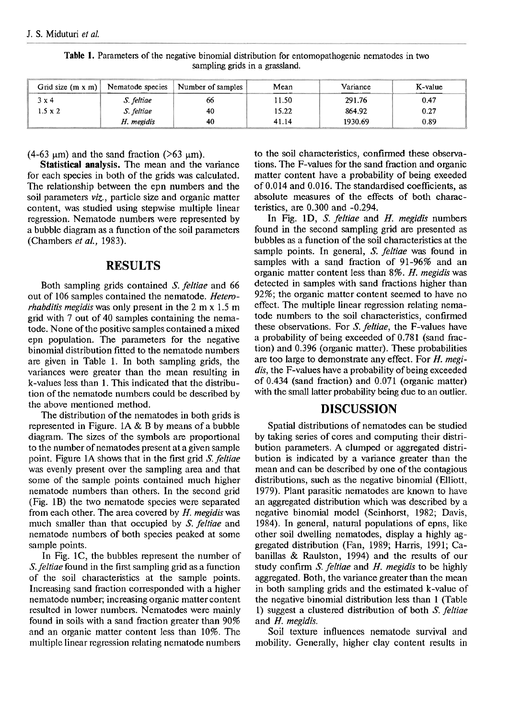| Grid size $(m \times m)$ | Nematode species | Number of samples $\frac{1}{2}$ | Mean  | Variance | K-value |
|--------------------------|------------------|---------------------------------|-------|----------|---------|
| 3 x 4                    | S. feltiae       | 66                              | 11.50 | 291.76   | 0.47    |
| $1.5 \times 2$           | S. feltiae       | 40                              | 15.22 | 864.92   | 0.27    |
|                          | H. megidis       | 40                              | 41.14 | 1930.69  | 0.89    |

**Table 1.** Parameters of the negative binomial distribution for entomopathogenic nematodes in two sampling grids in a grassland.

(4-63  $\mu$ m) and the sand fraction (>63  $\mu$ m).

**Statistical analysis.** The mean and the variance for each species in both of the grids was calculated. The relationship between the epn numbers and the soil parameters **viz.,** particle size and organic matter content, was studied using stepwise multiple linear regression. Nematode numbers were represented by a bubble diagram as a function of the soil parameters (Chambers et al., 1983).

# **RESULTS**

Both sampling grids contained **S.** feltiae and 66 out of 106 samples contained the nematode. Heterorhabditis megidis was only present in the 2 m x 1.5 m grid with 7 out of 40 samples containing the nematode. None of the positive samples contained a mixed epn population. The parameters for the negative binomial distribution fitted to the nematode numbers are given in Table 1. In both sampling grids, the variances were greater than the mean resulting in k-values less than 1. This indicated that the distribution of the nematode numbers could be described by the above mentioned method.

The distribution of the nematodes in both grids is represented in Figure. **1A** & B by means of a bubble diagram. The sizes of the symbols are proportional to the number of nematodes present at a given sample point. Figure 1A shows that in the first grid **S.** feltiae was evenly present over the sampling area and that some of the sample points contained much higher nematode numbers than others. In the second grid (Fig. 1B) the two nematode species were separated from each other. The area covered by  $H$ . megidis was much smaller than that occupied by S. feltiae and nematode numbers of both species peaked at some sample points.

In Fig. lC, the bubbles represent the number of **S.** feltiae found in the first sampling grid as a function of the soil characteristics at the sample points. Increasing sand fraction corresponded with a higher nematode number; increasing organic matter content resulted in lower numbers. Nematodes were mainly found in soils with a sand fraction greater than 90% and an organic matter content less than 10%. The multiple linear regression relating nematode numbers

to the soil characteristics, confirmed these observations. The F-values for the sand fraction and organic matter content have a probability of being exeeded of 0.014 and 0.016. The standardised coefficients, **as**  absolute measures of the effects of both characteristics, are 0.300 and -0.294.

In Fig. 1D, S. feltiae and H. megidis numbers found in the second sampling grid are presented as bubbles as a function of the soil characteristics at the sample points. In general, S. feltiae was found in samples with a sand fraction of 91-96% and an organic matter content less than 8%. H. megidis was detected in samples with sand fractions higher than 92%; the organic matter content seemed to have no effect. The multiple linear regression relating nematode numbers to the soil characteristics, confirmed these observations. For S. feltiae, the F-values have a probability of being exceeded of 0.781 (sand fraction) and 0.396 (organic matter). These probabilities are too large to demonstrate any effect. For H. megidis, the F-values have a probability of being exceeded of 0.434 (sand fraction) and 0.071 (organic matter) with the small latter probability being due to an outlier.

# **DISCUSSION**

Spatial distributions of nematodes can be studied by taking series of cores and computing their distribution parameters. A clumped or aggregated distribution is indicated by a variance greater than the mean and can be described by one of the contagious distributions, such as the negative binomial (Elliott, 1979). Plant parasitic nematodes are known to have an aggregated distribution which was described by a negative binomial model (Seinhorst, 1982; Davis, 1984). In general, natural populations of epns, like other soil dwelling nematodes, display a highly aggregated distribution (Fan, 1989; Harris, 1991; Cabanillas & Raulston, 1994) and the results of our study confirm S. feltiae and H. megidis to be highly aggregated. Both, the variance greater than the mean in both sampling grids and the estimated k-value of the negative binomial distribution less than 1 (Table 1) suggest a clustered distribution of both S. feltiae and H. megidis.

Soil texture influences nematode survival and mobility. Generally, higher clay content results in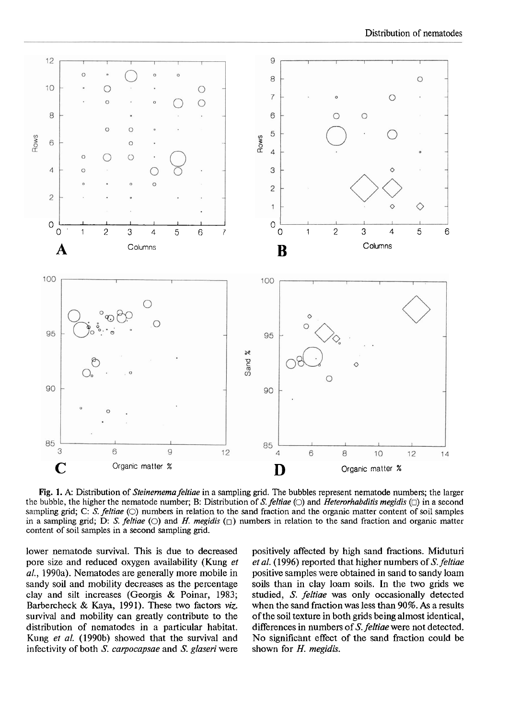

**Fig.** 1. *A:* Distribution of *Steinernema felfiae* in a sampling grid. The bubbles represent nematode numbers; the larger the bubble, the higher the nematode number; B: Distribution of *S. feltiae*  $\circlearrowright$  and *Heterorhabditis megidis*  $\circlearrowright$  in a second sampling grid; C: S. feltiae (O) numbers in relation to the sand fraction and the organic matter content of soil samples in a sampling grid; D: S. *feltiae* (O) and *H. megidis* ( $\Box$ ) numbers in relation to the sand fraction and organic matter content of soil samples in a second sampling grid.

lower nematode survival. This is due to decreased pore size and reduced oxygen availability (Kung *et al.,* 1990a). Nematodes are generally more mobile in sandy soil and mobility decreases as the percentage clay and silt increases (Georgis & Poinar, 1983; Barbercheck & Kaya, 1991). These two factors *viz.*  survival and mobility can greatly contribute to the distribution of nematodes in a particular habitat. Kung *et al.* (1990b) showed that the survival and infectivity of both S. *catpocapsae* and *S. glaseri* were

positively affected by high sand fractions. Miduturi *et al.* (1996) reported that higher numbers of **S.** *feltiae*  positive samples were obtained in sand to sandy loam soils than in clay loam soils. In the two grids we studied, S. *feltiae* was only occasionally detected when the sand fraction was less than 90%. **As** a results of the soil texture in both grids being almost identical, differences in numbers of **S.** *feltiae* were not detected. No significant effect of the sand fraction could be shown for H. *megidis.*